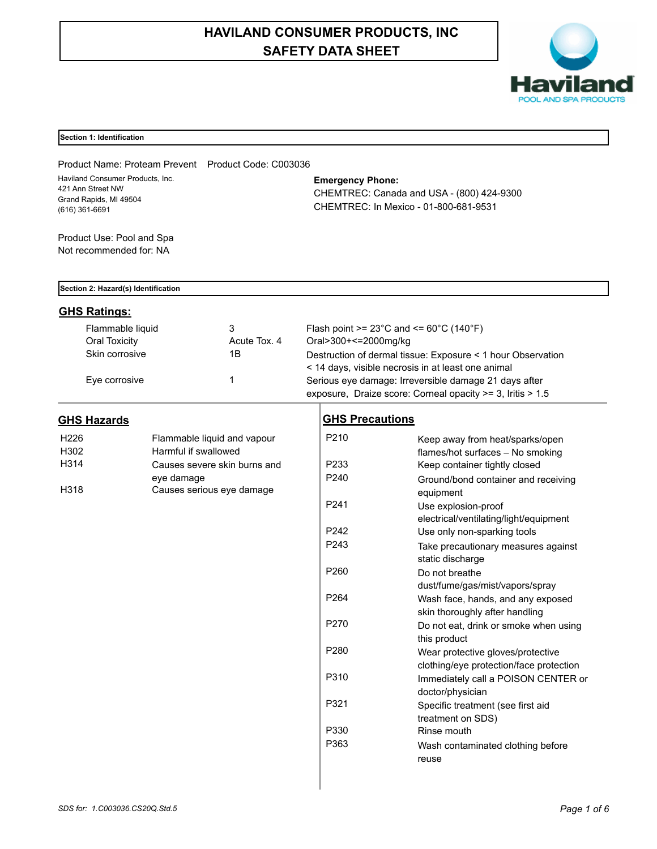# **HAVILAND CONSUMER PRODUCTS, INC SAFETY DATA SHEET**



#### **Section 1: Identification**

Product Name: Proteam Prevent Product Code: C003036 Haviland Consumer Products, Inc. 421 Ann Street NW Grand Rapids, MI 49504 (616) 361-6691

**Emergency Phone:**

CHEMTREC: Canada and USA - (800) 424-9300 CHEMTREC: In Mexico - 01-800-681-9531

Product Use: Pool and Spa Not recommended for: NA

#### **Section 2: Hazard(s) Identification**

# **GHS Ratings:**

| Flammable liquid | 3            | Flash point $>= 23^{\circ}$ C and $<= 60^{\circ}$ C (140 $^{\circ}$ F) |
|------------------|--------------|------------------------------------------------------------------------|
| Oral Toxicity    | Acute Tox, 4 | Oral>300+<=2000mg/kg                                                   |
| Skin corrosive   | 1Β           | Destruction of dermal tissue: Exposure < 1 hour Observation            |
|                  |              | < 14 days, visible necrosis in at least one animal                     |
| Eye corrosive    |              | Serious eye damage: Irreversible damage 21 days after                  |
|                  |              | exposure, Draize score: Corneal opacity >= 3, Iritis > 1.5             |

# **GHS Hazards**

| H <sub>226</sub> | Flammable liquid and vapour  |
|------------------|------------------------------|
| H302             | Harmful if swallowed         |
| H314             | Causes severe skin burns and |
|                  | eye damage                   |
| H318             | Causes serious eye damage    |

# **GHS Precautions**

| P210             | Keep away from heat/sparks/open<br>flames/hot surfaces - No smoking          |
|------------------|------------------------------------------------------------------------------|
| P233             | Keep container tightly closed                                                |
| P <sub>240</sub> | Ground/bond container and receiving<br>equipment                             |
| P <sub>241</sub> | Use explosion-proof<br>electrical/ventilating/light/equipment                |
| P <sub>242</sub> | Use only non-sparking tools                                                  |
| P <sub>243</sub> | Take precautionary measures against<br>static discharge                      |
| P <sub>260</sub> | Do not breathe                                                               |
|                  | dust/fume/gas/mist/vapors/spray                                              |
| P <sub>264</sub> | Wash face, hands, and any exposed<br>skin thoroughly after handling          |
| P <sub>270</sub> | Do not eat, drink or smoke when using<br>this product                        |
| P <sub>280</sub> | Wear protective gloves/protective<br>clothing/eye protection/face protection |
| P310             | Immediately call a POISON CENTER or<br>doctor/physician                      |
| P321             | Specific treatment (see first aid<br>treatment on SDS)                       |
| P330             | Rinse mouth                                                                  |
| P363             | Wash contaminated clothing before<br>reuse                                   |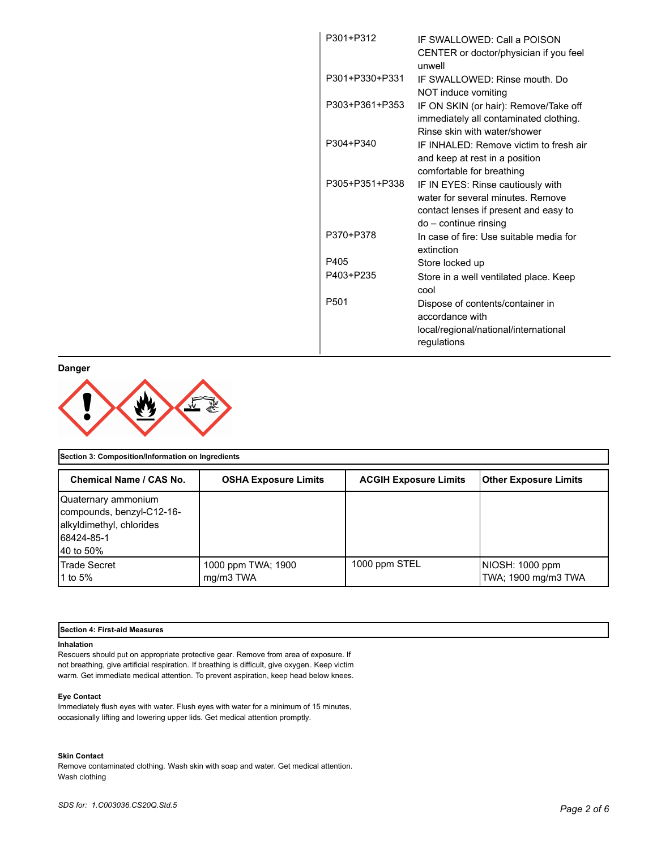| P301+P312        | IF SWALLOWED: Call a POISON<br>CENTER or doctor/physician if you feel<br>unwell                                                          |
|------------------|------------------------------------------------------------------------------------------------------------------------------------------|
| P301+P330+P331   | IF SWALLOWED: Rinse mouth, Do<br>NOT induce vomiting                                                                                     |
| P303+P361+P353   | IF ON SKIN (or hair): Remove/Take off<br>immediately all contaminated clothing.<br>Rinse skin with water/shower                          |
| P304+P340        | IF INHAI FD: Remove victim to fresh air<br>and keep at rest in a position<br>comfortable for breathing                                   |
| P305+P351+P338   | IF IN EYES: Rinse cautiously with<br>water for several minutes. Remove<br>contact lenses if present and easy to<br>do - continue rinsing |
| P370+P378        | In case of fire: Use suitable media for<br>extinction                                                                                    |
| P405             | Store locked up                                                                                                                          |
| P403+P235        | Store in a well ventilated place. Keep<br>cool                                                                                           |
| P <sub>501</sub> | Dispose of contents/container in<br>accordance with<br>local/regional/national/international<br>regulations                              |

**Danger**



| Section 3: Composition/Information on Ingredients                                                       |                                 |                              |                                        |
|---------------------------------------------------------------------------------------------------------|---------------------------------|------------------------------|----------------------------------------|
| Chemical Name / CAS No.                                                                                 | <b>OSHA Exposure Limits</b>     | <b>ACGIH Exposure Limits</b> | Other Exposure Limits                  |
| Quaternary ammonium<br>compounds, benzyl-C12-16-<br>alkyldimethyl, chlorides<br>68424-85-1<br>40 to 50% |                                 |                              |                                        |
| <b>Trade Secret</b><br>1 to 5%                                                                          | 1000 ppm TWA; 1900<br>mg/m3 TWA | 1000 ppm STEL                | NIOSH: 1000 ppm<br>TWA; 1900 mg/m3 TWA |

### **Section 4: First-aid Measures**

#### **Inhalation**

Rescuers should put on appropriate protective gear. Remove from area of exposure. If not breathing, give artificial respiration. If breathing is difficult, give oxygen. Keep victim warm. Get immediate medical attention. To prevent aspiration, keep head below knees.

#### **Eye Contact**

Immediately flush eyes with water. Flush eyes with water for a minimum of 15 minutes, occasionally lifting and lowering upper lids. Get medical attention promptly.

## **Skin Contact**

Remove contaminated clothing. Wash skin with soap and water. Get medical attention. Wash clothing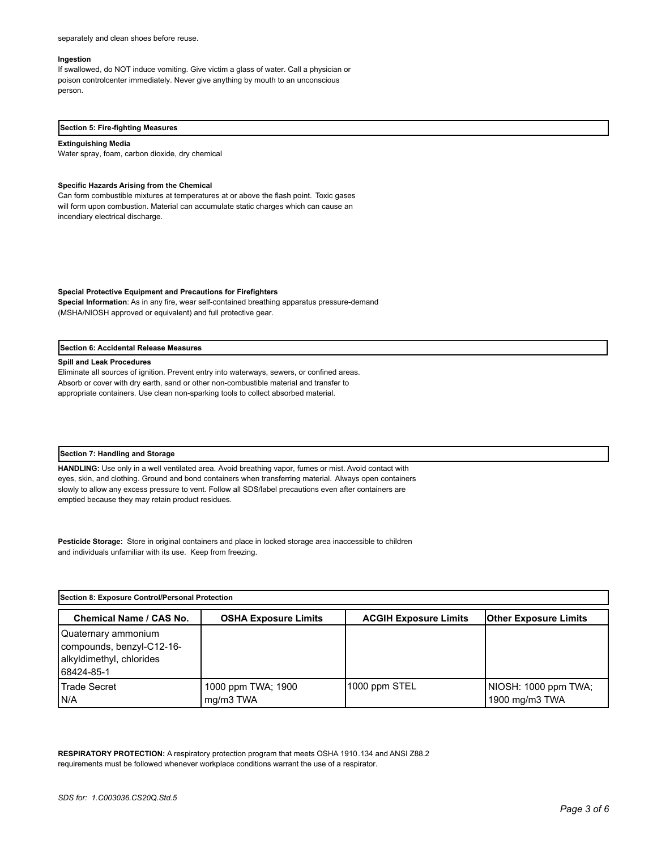#### separately and clean shoes before reuse.

#### **Ingestion**

If swallowed, do NOT induce vomiting. Give victim a glass of water. Call a physician or poison controlcenter immediately. Never give anything by mouth to an unconscious person.

#### **Section 5: Fire-fighting Measures**

#### **Extinguishing Media**

Water spray, foam, carbon dioxide, dry chemical

#### **Specific Hazards Arising from the Chemical**

Can form combustible mixtures at temperatures at or above the flash point. Toxic gases will form upon combustion. Material can accumulate static charges which can cause an incendiary electrical discharge.

**Special Protective Equipment and Precautions for Firefighters** 

**Special Information**: As in any fire, wear self-contained breathing apparatus pressure-demand (MSHA/NIOSH approved or equivalent) and full protective gear.

#### **Section 6: Accidental Release Measures**

#### **Spill and Leak Procedures**

Eliminate all sources of ignition. Prevent entry into waterways, sewers, or confined areas. Absorb or cover with dry earth, sand or other non-combustible material and transfer to appropriate containers. Use clean non-sparking tools to collect absorbed material.

#### **Section 7: Handling and Storage**

**HANDLING:** Use only in a well ventilated area. Avoid breathing vapor, fumes or mist. Avoid contact with eyes, skin, and clothing. Ground and bond containers when transferring material. Always open containers slowly to allow any excess pressure to vent. Follow all SDS/label precautions even after containers are emptied because they may retain product residues.

**Pesticide Storage:** Store in original containers and place in locked storage area inaccessible to children and individuals unfamiliar with its use. Keep from freezing.

| Section 8: Exposure Control/Personal Protection                                            |                                 |                              |                                         |
|--------------------------------------------------------------------------------------------|---------------------------------|------------------------------|-----------------------------------------|
| <b>Chemical Name / CAS No.</b>                                                             | <b>OSHA Exposure Limits</b>     | <b>ACGIH Exposure Limits</b> | <b>Other Exposure Limits</b>            |
| Quaternary ammonium<br>compounds, benzyl-C12-16-<br>alkyldimethyl, chlorides<br>68424-85-1 |                                 |                              |                                         |
| Trade Secret<br>IN/A                                                                       | 1000 ppm TWA; 1900<br>mg/m3 TWA | 1000 ppm STEL                | INIOSH: 1000 ppm TWA;<br>1900 mg/m3 TWA |

**RESPIRATORY PROTECTION:** A respiratory protection program that meets OSHA 1910.134 and ANSI Z88.2 requirements must be followed whenever workplace conditions warrant the use of a respirator.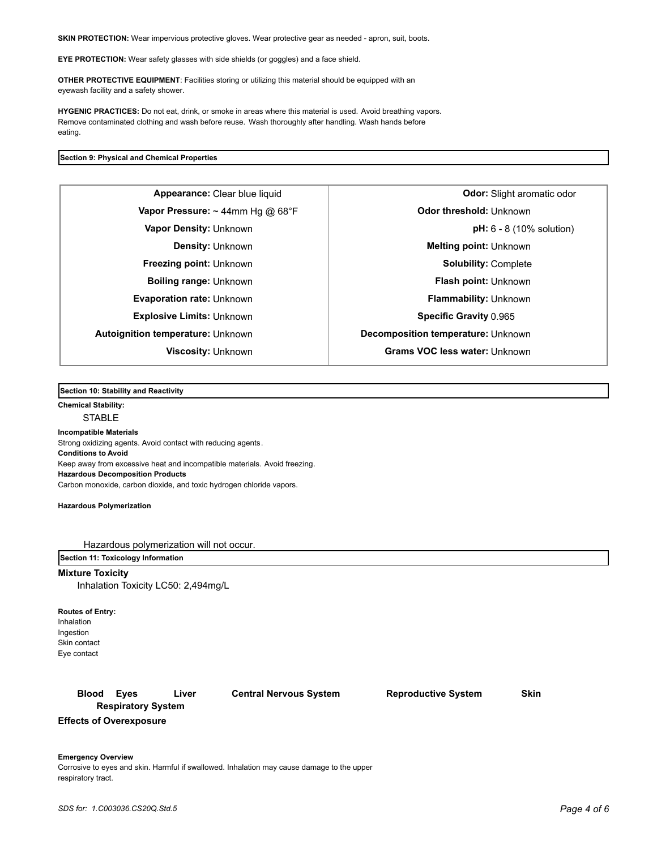**SKIN PROTECTION:** Wear impervious protective gloves. Wear protective gear as needed - apron, suit, boots.

**EYE PROTECTION:** Wear safety glasses with side shields (or goggles) and a face shield.

**OTHER PROTECTIVE EQUIPMENT**: Facilities storing or utilizing this material should be equipped with an eyewash facility and a safety shower.

**HYGENIC PRACTICES:** Do not eat, drink, or smoke in areas where this material is used. Avoid breathing vapors. Remove contaminated clothing and wash before reuse. Wash thoroughly after handling. Wash hands before eating.

#### **Section 9: Physical and Chemical Properties**

**Vapor Pressure:** ~ 44mm Hg @ 68°F **Department Constrainer Constrainer** Odor threshold: Unknown **Evaporation rate:** Unknown **Flammability:** Unknown **Explosive Limits:** Unknown **Specific Gravity** 0.965 **Autoignition temperature:** Unknown **Decomposition temperature: Unknown** 

**Appearance:** Clear blue liquid **Clear in the Clear of Clear of Clear of Clear in the Clear of Clear of Clear in the Clear of Clear of Clear in the Clear of Clear of Clear in the Clear of Clear in the Clear of Clear of Cle Vapor Density:** Unknown **pH:** 6 - 8 (10% solution) **Density:** Unknown **Melting point:** Unknown **Freezing point:** Unknown **Solubility:** Complete **Boiling range:** Unknown **Flash point: Unknown Viscosity:** Unknown **Grams VOC less water:** Unknown

**Section 10: Stability and Reactivity** 

### **Chemical Stability: STABLE**

**Incompatible Materials** 

Strong oxidizing agents. Avoid contact with reducing agents. **Conditions to Avoid** Keep away from excessive heat and incompatible materials. Avoid freezing. **Hazardous Decomposition Products** Carbon monoxide, carbon dioxide, and toxic hydrogen chloride vapors.

**Hazardous Polymerization**

Hazardous polymerization will not occur.

#### **Section 11: Toxicology Information**

#### **Mixture Toxicity**

Inhalation Toxicity LC50: 2,494mg/L

**Routes of Entry:** Inhalation Ingestion Skin contact Eye contact

# **Blood Eyes Liver Central Nervous System Reproductive System Skin Respiratory System**

**Effects of Overexposure**

**Emergency Overview** Corrosive to eyes and skin. Harmful if swallowed. Inhalation may cause damage to the upper respiratory tract.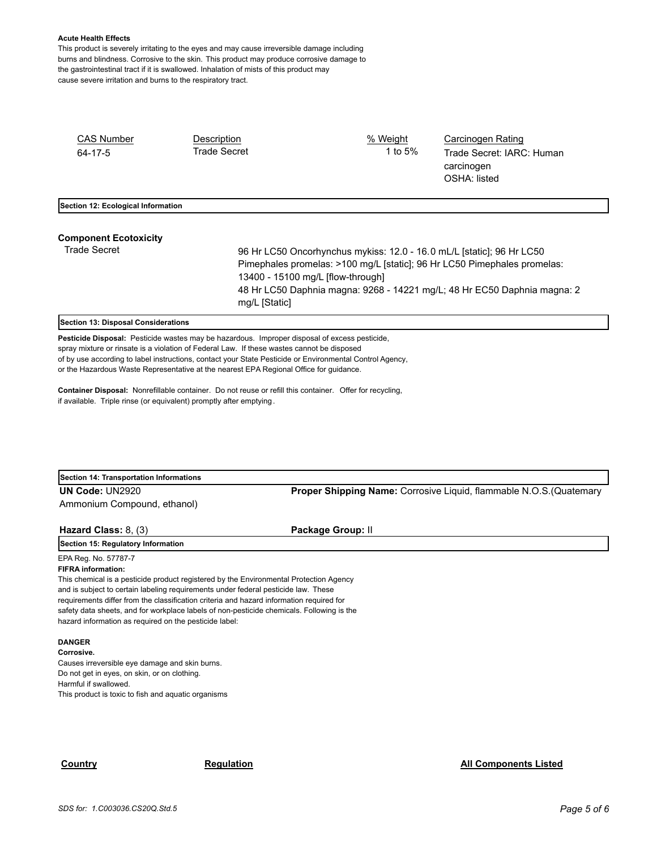#### **Acute Health Effects**

This product is severely irritating to the eyes and may cause irreversible damage including burns and blindness. Corrosive to the skin. This product may produce corrosive damage to the gastrointestinal tract if it is swallowed. Inhalation of mists of this product may cause severe irritation and burns to the respiratory tract.

| <b>CAS Number</b><br>$64 - 17 - 5$  | Description<br><b>Trade Secret</b>                                                                            | % Weight<br>1 to 5%                                                      | <b>Carcinogen Rating</b><br>Trade Secret: IARC: Human<br>carcinogen |  |  |
|-------------------------------------|---------------------------------------------------------------------------------------------------------------|--------------------------------------------------------------------------|---------------------------------------------------------------------|--|--|
|                                     |                                                                                                               |                                                                          | OSHA: listed                                                        |  |  |
| Section 12: Ecological Information  |                                                                                                               |                                                                          |                                                                     |  |  |
| <b>Component Ecotoxicity</b>        |                                                                                                               |                                                                          |                                                                     |  |  |
| <b>Trade Secret</b>                 |                                                                                                               | 96 Hr LC50 Oncorhynchus mykiss: 12.0 - 16.0 mL/L [static]; 96 Hr LC50    |                                                                     |  |  |
|                                     | Pimephales promelas: >100 mg/L [static]; 96 Hr LC50 Pimephales promelas:<br>13400 - 15100 mg/L [flow-through] |                                                                          |                                                                     |  |  |
|                                     | mg/L [Static]                                                                                                 | 48 Hr LC50 Daphnia magna: 9268 - 14221 mg/L; 48 Hr EC50 Daphnia magna: 2 |                                                                     |  |  |
| Section 13: Disposal Considerations |                                                                                                               |                                                                          |                                                                     |  |  |

**Pesticide Disposal:** Pesticide wastes may be hazardous. Improper disposal of excess pesticide, spray mixture or rinsate is a violation of Federal Law. If these wastes cannot be disposed of by use according to label instructions, contact your State Pesticide or Environmental Control Agency, or the Hazardous Waste Representative at the nearest EPA Regional Office for guidance.

**Container Disposal:** Nonrefillable container. Do not reuse or refill this container. Offer for recycling, if available. Triple rinse (or equivalent) promptly after emptying.

| Section 14: Transportation Informations |  |  |  |
|-----------------------------------------|--|--|--|
| UN Code: UN2920                         |  |  |  |
| Ammonium Compound, ethanol)             |  |  |  |

**Proper Shipping Name: Corrosive Liquid, flammable N.O.S.(Quatemary** 

# **Hazard Class: 8, (3) Package Group: II**

**Section 15: Regulatory Information**

# EPA Reg. No. 57787-7

**FIFRA information:**

This chemical is a pesticide product registered by the Environmental Protection Agency and is subject to certain labeling requirements under federal pesticide law. These requirements differ from the classification criteria and hazard information required for safety data sheets, and for workplace labels of non-pesticide chemicals. Following is the hazard information as required on the pesticide label:

# **DANGER**

**Corrosive.** Causes irreversible eye damage and skin burns. Do not get in eyes, on skin, or on clothing. Harmful if swallowed. This product is toxic to fish and aquatic organisms

# **Country Country Regulation Regulation Regulation All Components Listed**